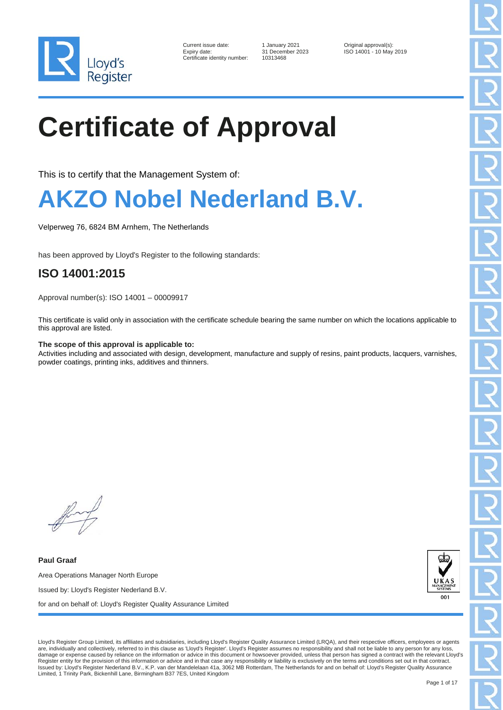

| Current issue date:        |
|----------------------------|
| Expiry date:               |
| Certificate identity numbe |

er: 10313468

1 January 2021 **Current Courrent Contains Container** Original approval(s):<br>31 December 2023 **ISO 14001 - 10 May** ISO 14001 - 10 May 2019

### **Certificate of Approval**

This is to certify that the Management System of:

#### **AKZO Nobel Nederland B.V.**

Velperweg 76, 6824 BM Arnhem, The Netherlands

has been approved by Lloyd's Register to the following standards:

#### **ISO 14001:2015**

Approval number(s): ISO 14001 – 00009917

This certificate is valid only in association with the certificate schedule bearing the same number on which the locations applicable to this approval are listed.

#### **The scope of this approval is applicable to:**

Activities including and associated with design, development, manufacture and supply of resins, paint products, lacquers, varnishes, powder coatings, printing inks, additives and thinners.

**Paul Graaf** Area Operations Manager North Europe Issued by: Lloyd's Register Nederland B.V. for and on behalf of: Lloyd's Register Quality Assurance Limited



Lloyd's Register Group Limited, its affiliates and subsidiaries, including Lloyd's Register Quality Assurance Limited (LRQA), and their respective officers, employees or agents are, individually and collectively, referred to in this clause as 'Lloyd's Register'. Lloyd's Register assumes no responsibility and shall not be liable to any person for any loss, damage or expense caused by reliance on the information or advice in this document or howsoever provided, unless that person has signed a contract with the relevant Lloyd's Register entity for the provision of this information or advice and in that case any responsibility or liability is exclusively on the terms and conditions set out in that contract.<br>Issued by: Lloyd's Register Nederland B. Limited, 1 Trinity Park, Bickenhill Lane, Birmingham B37 7ES, United Kingdom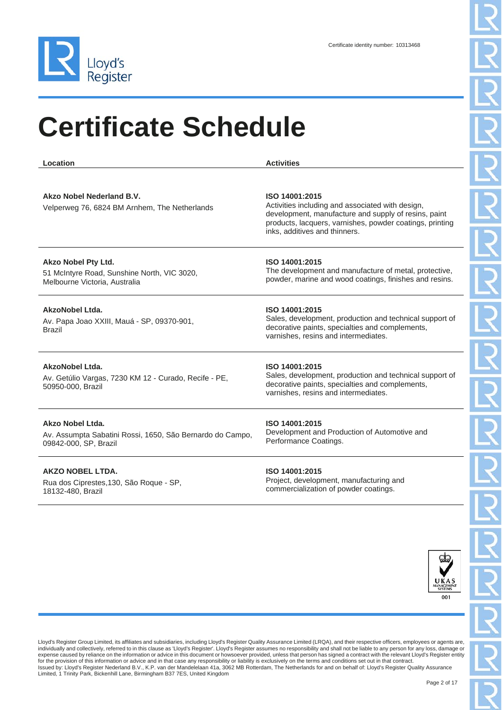

| Location                                                                                                   | <b>Activities</b>                                                                                                                                                                                                       |
|------------------------------------------------------------------------------------------------------------|-------------------------------------------------------------------------------------------------------------------------------------------------------------------------------------------------------------------------|
| Akzo Nobel Nederland B.V.<br>Velperweg 76, 6824 BM Arnhem, The Netherlands                                 | ISO 14001:2015<br>Activities including and associated with design,<br>development, manufacture and supply of resins, paint<br>products, lacquers, varnishes, powder coatings, printing<br>inks, additives and thinners. |
| <b>Akzo Nobel Pty Ltd.</b><br>51 McIntyre Road, Sunshine North, VIC 3020,<br>Melbourne Victoria, Australia | ISO 14001:2015<br>The development and manufacture of metal, protective,<br>powder, marine and wood coatings, finishes and resins.                                                                                       |
| AkzoNobel Ltda.<br>Av. Papa Joao XXIII, Mauá - SP, 09370-901,<br><b>Brazil</b>                             | ISO 14001:2015<br>Sales, development, production and technical support of<br>decorative paints, specialties and complements,<br>varnishes, resins and intermediates.                                                    |
| AkzoNobel Ltda.<br>Av. Getúlio Vargas, 7230 KM 12 - Curado, Recife - PE,<br>50950-000, Brazil              | ISO 14001:2015<br>Sales, development, production and technical support of<br>decorative paints, specialties and complements,<br>varnishes, resins and intermediates.                                                    |
| Akzo Nobel Ltda.<br>Av. Assumpta Sabatini Rossi, 1650, São Bernardo do Campo,<br>09842-000, SP, Brazil     | ISO 14001:2015<br>Development and Production of Automotive and<br>Performance Coatings.                                                                                                                                 |
| <b>AKZO NOBEL LTDA.</b>                                                                                    | ISO 14001:2015                                                                                                                                                                                                          |

Rua dos Ciprestes,130, São Roque - SP, 18132-480, Brazil

Project, development, manufacturing and commercialization of powder coatings.

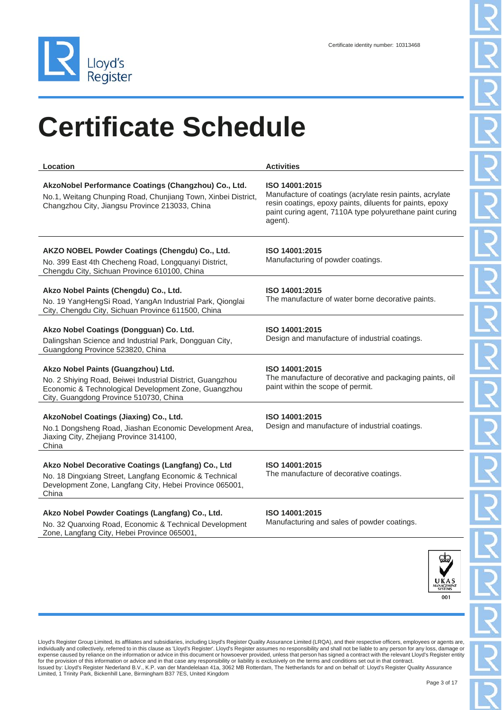

| Location                                                                                                                                                                                          | <b>Activities</b>                                                                                                                                                                                             |
|---------------------------------------------------------------------------------------------------------------------------------------------------------------------------------------------------|---------------------------------------------------------------------------------------------------------------------------------------------------------------------------------------------------------------|
| AkzoNobel Performance Coatings (Changzhou) Co., Ltd.<br>No.1, Weitang Chunping Road, Chunjiang Town, Xinbei District,<br>Changzhou City, Jiangsu Province 213033, China                           | ISO 14001:2015<br>Manufacture of coatings (acrylate resin paints, acrylate<br>resin coatings, epoxy paints, diluents for paints, epoxy<br>paint curing agent, 7110A type polyurethane paint curing<br>agent). |
| AKZO NOBEL Powder Coatings (Chengdu) Co., Ltd.<br>No. 399 East 4th Checheng Road, Longquanyi District,<br>Chengdu City, Sichuan Province 610100, China                                            | ISO 14001:2015<br>Manufacturing of powder coatings.                                                                                                                                                           |
| Akzo Nobel Paints (Chengdu) Co., Ltd.<br>No. 19 YangHengSi Road, YangAn Industrial Park, Qionglai<br>City, Chengdu City, Sichuan Province 611500, China                                           | ISO 14001:2015<br>The manufacture of water borne decorative paints.                                                                                                                                           |
| Akzo Nobel Coatings (Dongguan) Co. Ltd.<br>Dalingshan Science and Industrial Park, Dongguan City,<br>Guangdong Province 523820, China                                                             | ISO 14001:2015<br>Design and manufacture of industrial coatings.                                                                                                                                              |
| Akzo Nobel Paints (Guangzhou) Ltd.<br>No. 2 Shiying Road, Beiwei Industrial District, Guangzhou<br>Economic & Technological Development Zone, Guangzhou<br>City, Guangdong Province 510730, China | ISO 14001:2015<br>The manufacture of decorative and packaging paints, oil<br>paint within the scope of permit.                                                                                                |
| AkzoNobel Coatings (Jiaxing) Co., Ltd.<br>No.1 Dongsheng Road, Jiashan Economic Development Area,<br>Jiaxing City, Zhejiang Province 314100,<br>China                                             | ISO 14001:2015<br>Design and manufacture of industrial coatings.                                                                                                                                              |
| Akzo Nobel Decorative Coatings (Langfang) Co., Ltd<br>No. 18 Dingxiang Street, Langfang Economic & Technical<br>Development Zone, Langfang City, Hebei Province 065001,<br>China                  | ISO 14001:2015<br>The manufacture of decorative coatings.                                                                                                                                                     |
| Akzo Nobel Powder Coatings (Langfang) Co., Ltd.<br>No. 32 Quanxing Road, Economic & Technical Development<br>Zone, Langfang City, Hebei Province 065001,                                          | ISO 14001:2015<br>Manufacturing and sales of powder coatings.                                                                                                                                                 |

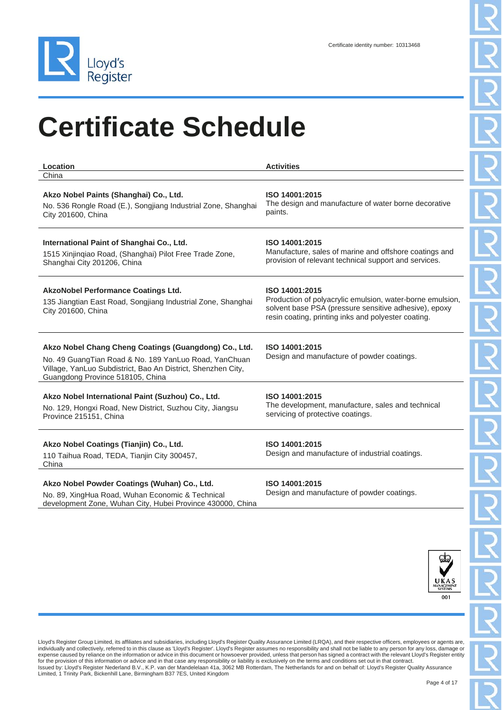

| Location                                                                                                                                                                                                           | <b>Activities</b>                                                                                                                                                                           |
|--------------------------------------------------------------------------------------------------------------------------------------------------------------------------------------------------------------------|---------------------------------------------------------------------------------------------------------------------------------------------------------------------------------------------|
| China                                                                                                                                                                                                              |                                                                                                                                                                                             |
| Akzo Nobel Paints (Shanghai) Co., Ltd.<br>No. 536 Rongle Road (E.), Songjiang Industrial Zone, Shanghai<br>City 201600, China                                                                                      | ISO 14001:2015<br>The design and manufacture of water borne decorative<br>paints.                                                                                                           |
| International Paint of Shanghai Co., Ltd.<br>1515 Xinjingiao Road, (Shanghai) Pilot Free Trade Zone,<br>Shanghai City 201206, China                                                                                | ISO 14001:2015<br>Manufacture, sales of marine and offshore coatings and<br>provision of relevant technical support and services.                                                           |
| <b>AkzoNobel Performance Coatings Ltd.</b><br>135 Jiangtian East Road, Songjiang Industrial Zone, Shanghai<br>City 201600, China                                                                                   | ISO 14001:2015<br>Production of polyacrylic emulsion, water-borne emulsion,<br>solvent base PSA (pressure sensitive adhesive), epoxy<br>resin coating, printing inks and polyester coating. |
| Akzo Nobel Chang Cheng Coatings (Guangdong) Co., Ltd.<br>No. 49 GuangTian Road & No. 189 YanLuo Road, YanChuan<br>Village, YanLuo Subdistrict, Bao An District, Shenzhen City,<br>Guangdong Province 518105, China | ISO 14001:2015<br>Design and manufacture of powder coatings.                                                                                                                                |
| Akzo Nobel International Paint (Suzhou) Co., Ltd.<br>No. 129, Hongxi Road, New District, Suzhou City, Jiangsu<br>Province 215151, China                                                                            | ISO 14001:2015<br>The development, manufacture, sales and technical<br>servicing of protective coatings.                                                                                    |
| Akzo Nobel Coatings (Tianjin) Co., Ltd.<br>110 Taihua Road, TEDA, Tianjin City 300457,<br>China                                                                                                                    | ISO 14001:2015<br>Design and manufacture of industrial coatings.                                                                                                                            |
| Akzo Nobel Powder Coatings (Wuhan) Co., Ltd.<br>No. 89, XingHua Road, Wuhan Economic & Technical<br>development Zone, Wuhan City, Hubei Province 430000, China                                                     | ISO 14001:2015<br>Design and manufacture of powder coatings.                                                                                                                                |

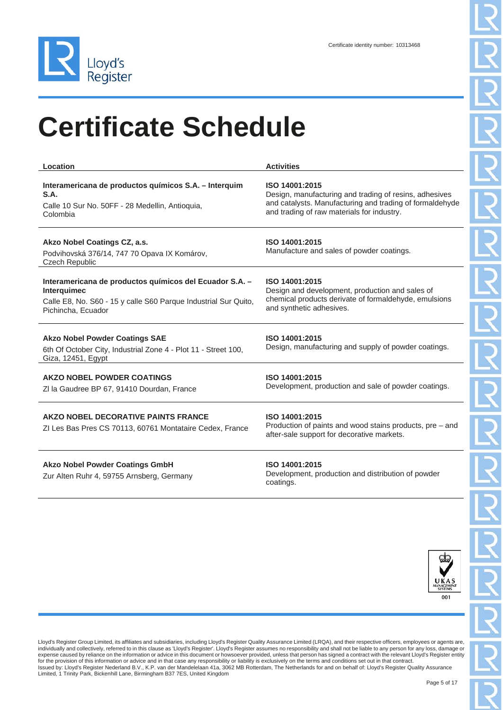

| Location                                                                                                                                                        | <b>Activities</b>                                                                                                                                                                  |
|-----------------------------------------------------------------------------------------------------------------------------------------------------------------|------------------------------------------------------------------------------------------------------------------------------------------------------------------------------------|
| Interamericana de productos químicos S.A. - Interquim<br>S.A.<br>Calle 10 Sur No. 50FF - 28 Medellin, Antioquia,<br>Colombia                                    | ISO 14001:2015<br>Design, manufacturing and trading of resins, adhesives<br>and catalysts. Manufacturing and trading of formaldehyde<br>and trading of raw materials for industry. |
| Akzo Nobel Coatings CZ, a.s.<br>Podvihovská 376/14, 747 70 Opava IX Komárov,<br><b>Czech Republic</b>                                                           | ISO 14001:2015<br>Manufacture and sales of powder coatings.                                                                                                                        |
| Interamericana de productos químicos del Ecuador S.A. -<br>Interquimec<br>Calle E8, No. S60 - 15 y calle S60 Parque Industrial Sur Quito,<br>Pichincha, Ecuador | ISO 14001:2015<br>Design and development, production and sales of<br>chemical products derivate of formaldehyde, emulsions<br>and synthetic adhesives.                             |
| <b>Akzo Nobel Powder Coatings SAE</b><br>6th Of October City, Industrial Zone 4 - Plot 11 - Street 100,<br>Giza, 12451, Egypt                                   | ISO 14001:2015<br>Design, manufacturing and supply of powder coatings.                                                                                                             |
| AKZO NOBEL POWDER COATINGS<br>ZI la Gaudree BP 67, 91410 Dourdan, France                                                                                        | ISO 14001:2015<br>Development, production and sale of powder coatings.                                                                                                             |
| AKZO NOBEL DECORATIVE PAINTS FRANCE<br>ZI Les Bas Pres CS 70113, 60761 Montataire Cedex, France                                                                 | ISO 14001:2015<br>Production of paints and wood stains products, pre - and<br>after-sale support for decorative markets.                                                           |
| <b>Akzo Nobel Powder Coatings GmbH</b><br>Zur Alten Ruhr 4, 59755 Arnsberg, Germany                                                                             | ISO 14001:2015<br>Development, production and distribution of powder<br>coatings.                                                                                                  |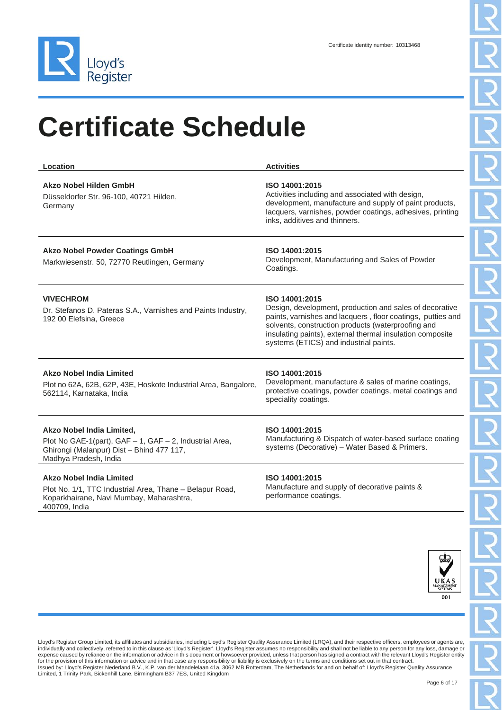

| Location                                                                                                                                                         | <b>Activities</b>                                                                                                                                                                                                                                                                                     |
|------------------------------------------------------------------------------------------------------------------------------------------------------------------|-------------------------------------------------------------------------------------------------------------------------------------------------------------------------------------------------------------------------------------------------------------------------------------------------------|
| Akzo Nobel Hilden GmbH<br>Düsseldorfer Str. 96-100, 40721 Hilden,<br>Germany                                                                                     | ISO 14001:2015<br>Activities including and associated with design,<br>development, manufacture and supply of paint products,<br>lacquers, varnishes, powder coatings, adhesives, printing<br>inks, additives and thinners.                                                                            |
| <b>Akzo Nobel Powder Coatings GmbH</b><br>Markwiesenstr. 50, 72770 Reutlingen, Germany                                                                           | ISO 14001:2015<br>Development, Manufacturing and Sales of Powder<br>Coatings.                                                                                                                                                                                                                         |
| <b>VIVECHROM</b><br>Dr. Stefanos D. Pateras S.A., Varnishes and Paints Industry,<br>192 00 Elefsina, Greece                                                      | ISO 14001:2015<br>Design, development, production and sales of decorative<br>paints, varnishes and lacquers, floor coatings, putties and<br>solvents, construction products (waterproofing and<br>insulating paints), external thermal insulation composite<br>systems (ETICS) and industrial paints. |
| <b>Akzo Nobel India Limited</b><br>Plot no 62A, 62B, 62P, 43E, Hoskote Industrial Area, Bangalore,<br>562114, Karnataka, India                                   | ISO 14001:2015<br>Development, manufacture & sales of marine coatings,<br>protective coatings, powder coatings, metal coatings and<br>speciality coatings.                                                                                                                                            |
| Akzo Nobel India Limited,<br>Plot No GAE-1(part), $GAF - 1$ , $GAF - 2$ , Industrial Area,<br>Ghirongi (Malanpur) Dist - Bhind 477 117,<br>Madhya Pradesh, India | ISO 14001:2015<br>Manufacturing & Dispatch of water-based surface coating<br>systems (Decorative) - Water Based & Primers.                                                                                                                                                                            |
| <b>Akzo Nobel India Limited</b>                                                                                                                                  | ISO 14001:2015                                                                                                                                                                                                                                                                                        |

Plot No. 1/1, TTC Industrial Area, Thane – Belapur Road, Koparkhairane, Navi Mumbay, Maharashtra, 400709, India

#### **ISO 14001:2015**

Manufacture and supply of decorative paints & performance coatings.

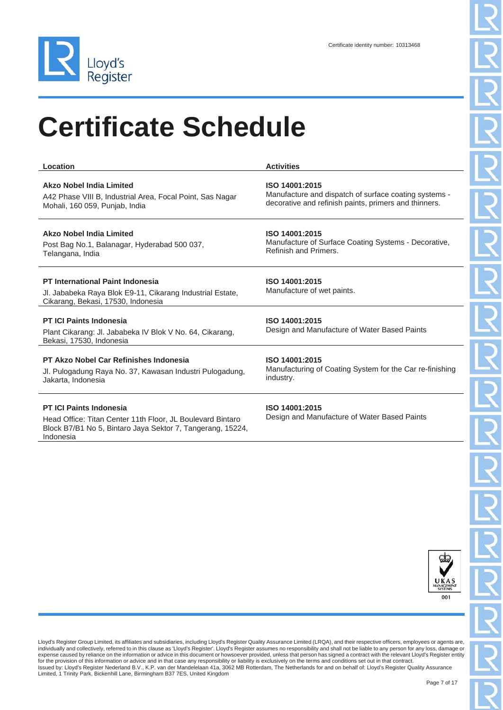

| Location                                                                                                                                   | <b>Activities</b>                                              |
|--------------------------------------------------------------------------------------------------------------------------------------------|----------------------------------------------------------------|
| Akzo Nobel India Limited                                                                                                                   | ISO 14001:2015                                                 |
| A42 Phase VIII B, Industrial Area, Focal Point, Sas Nagar                                                                                  | Manufacture and dispatch of surface coating systems -          |
| Mohali, 160 059, Punjab, India                                                                                                             | decorative and refinish paints, primers and thinners.          |
| <b>Akzo Nobel India Limited</b>                                                                                                            | ISO 14001:2015                                                 |
| Post Bag No.1, Balanagar, Hyderabad 500 037,                                                                                               | Manufacture of Surface Coating Systems - Decorative,           |
| Telangana, India                                                                                                                           | Refinish and Primers.                                          |
| <b>PT International Paint Indonesia</b><br>Jl. Jababeka Raya Blok E9-11, Cikarang Industrial Estate,<br>Cikarang, Bekasi, 17530, Indonesia | ISO 14001:2015<br>Manufacture of wet paints.                   |
| <b>PT ICI Paints Indonesia</b><br>Plant Cikarang: Jl. Jababeka IV Blok V No. 64, Cikarang,<br>Bekasi, 17530, Indonesia                     | ISO 14001:2015<br>Design and Manufacture of Water Based Paints |
| PT Akzo Nobel Car Refinishes Indonesia                                                                                                     | ISO 14001:2015                                                 |
| Jl. Pulogadung Raya No. 37, Kawasan Industri Pulogadung,                                                                                   | Manufacturing of Coating System for the Car re-finishing       |
| Jakarta, Indonesia                                                                                                                         | industry.                                                      |

#### **PT ICI Paints Indonesia**

Head Office: Titan Center 11th Floor, JL Boulevard Bintaro Block B7/B1 No 5, Bintaro Jaya Sektor 7, Tangerang, 15224, Indonesia

#### **ISO 14001:2015**

Design and Manufacture of Water Based Paints

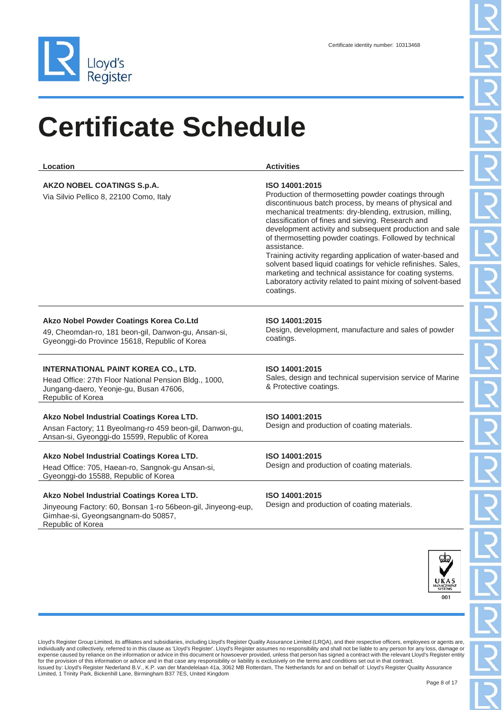

| Location                                                                                                                                                             | <b>Activities</b>                                                                                                                                                                                                                                                                                                                                                                                                                                                                                                                                                                                                                                          |
|----------------------------------------------------------------------------------------------------------------------------------------------------------------------|------------------------------------------------------------------------------------------------------------------------------------------------------------------------------------------------------------------------------------------------------------------------------------------------------------------------------------------------------------------------------------------------------------------------------------------------------------------------------------------------------------------------------------------------------------------------------------------------------------------------------------------------------------|
| AKZO NOBEL COATINGS S.p.A.<br>Via Silvio Pellico 8, 22100 Como, Italy                                                                                                | ISO 14001:2015<br>Production of thermosetting powder coatings through<br>discontinuous batch process, by means of physical and<br>mechanical treatments: dry-blending, extrusion, milling,<br>classification of fines and sieving. Research and<br>development activity and subsequent production and sale<br>of thermosetting powder coatings. Followed by technical<br>assistance.<br>Training activity regarding application of water-based and<br>solvent based liquid coatings for vehicle refinishes. Sales,<br>marketing and technical assistance for coating systems.<br>Laboratory activity related to paint mixing of solvent-based<br>coatings. |
| Akzo Nobel Powder Coatings Korea Co.Ltd<br>49, Cheomdan-ro, 181 beon-gil, Danwon-gu, Ansan-si,<br>Gyeonggi-do Province 15618, Republic of Korea                      | ISO 14001:2015<br>Design, development, manufacture and sales of powder<br>coatings.                                                                                                                                                                                                                                                                                                                                                                                                                                                                                                                                                                        |
| INTERNATIONAL PAINT KOREA CO., LTD.<br>Head Office: 27th Floor National Pension Bldg., 1000,<br>Jungang-daero, Yeonje-gu, Busan 47606,<br>Republic of Korea          | ISO 14001:2015<br>Sales, design and technical supervision service of Marine<br>& Protective coatings.                                                                                                                                                                                                                                                                                                                                                                                                                                                                                                                                                      |
| Akzo Nobel Industrial Coatings Korea LTD.<br>Ansan Factory; 11 Byeolmang-ro 459 beon-gil, Danwon-gu,<br>Ansan-si, Gyeonggi-do 15599, Republic of Korea               | ISO 14001:2015<br>Design and production of coating materials.                                                                                                                                                                                                                                                                                                                                                                                                                                                                                                                                                                                              |
| Akzo Nobel Industrial Coatings Korea LTD.<br>Head Office: 705, Haean-ro, Sangnok-gu Ansan-si,<br>Gyeonggi-do 15588, Republic of Korea                                | ISO 14001:2015<br>Design and production of coating materials.                                                                                                                                                                                                                                                                                                                                                                                                                                                                                                                                                                                              |
| Akzo Nobel Industrial Coatings Korea LTD.<br>Jinyeoung Factory: 60, Bonsan 1-ro 56beon-gil, Jinyeong-eup,<br>Gimhae-si, Gyeongsangnam-do 50857,<br>Republic of Korea | ISO 14001:2015<br>Design and production of coating materials.                                                                                                                                                                                                                                                                                                                                                                                                                                                                                                                                                                                              |

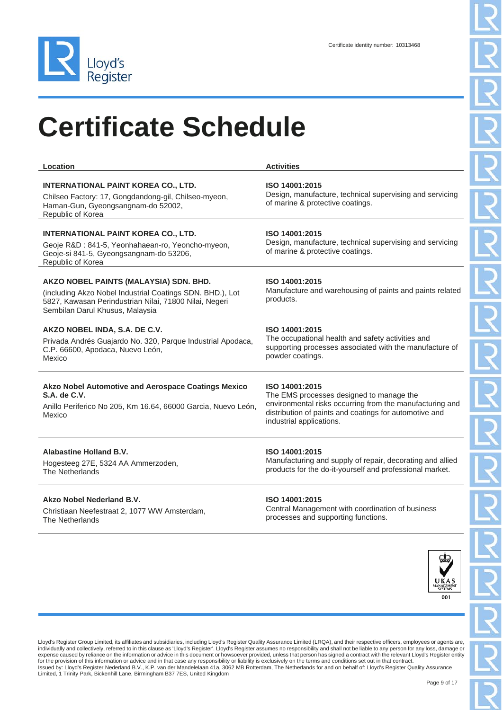

| Location                                                                                                                                                                                         | <b>Activities</b>                                                                                                                                                                                            |
|--------------------------------------------------------------------------------------------------------------------------------------------------------------------------------------------------|--------------------------------------------------------------------------------------------------------------------------------------------------------------------------------------------------------------|
| <b>INTERNATIONAL PAINT KOREA CO., LTD.</b><br>Chilseo Factory: 17, Gongdandong-gil, Chilseo-myeon,<br>Haman-Gun, Gyeongsangnam-do 52002,<br>Republic of Korea                                    | ISO 14001:2015<br>Design, manufacture, technical supervising and servicing<br>of marine & protective coatings.                                                                                               |
| <b>INTERNATIONAL PAINT KOREA CO., LTD.</b><br>Geoje R&D: 841-5, Yeonhahaean-ro, Yeoncho-myeon,<br>Geoje-si 841-5, Gyeongsangnam-do 53206,<br>Republic of Korea                                   | ISO 14001:2015<br>Design, manufacture, technical supervising and servicing<br>of marine & protective coatings.                                                                                               |
| AKZO NOBEL PAINTS (MALAYSIA) SDN. BHD.<br>(including Akzo Nobel Industrial Coatings SDN. BHD.), Lot<br>5827, Kawasan Perindustrian Nilai, 71800 Nilai, Negeri<br>Sembilan Darul Khusus, Malaysia | ISO 14001:2015<br>Manufacture and warehousing of paints and paints related<br>products.                                                                                                                      |
| AKZO NOBEL INDA, S.A. DE C.V.<br>Privada Andrés Guajardo No. 320, Parque Industrial Apodaca,<br>C.P. 66600, Apodaca, Nuevo León,<br>Mexico                                                       | ISO 14001:2015<br>The occupational health and safety activities and<br>supporting processes associated with the manufacture of<br>powder coatings.                                                           |
| Akzo Nobel Automotive and Aerospace Coatings Mexico<br>S.A. de C.V.<br>Anillo Periferico No 205, Km 16.64, 66000 Garcia, Nuevo León,<br>Mexico                                                   | ISO 14001:2015<br>The EMS processes designed to manage the<br>environmental risks occurring from the manufacturing and<br>distribution of paints and coatings for automotive and<br>industrial applications. |
| <b>Alabastine Holland B.V.</b><br>Hogesteeg 27E, 5324 AA Ammerzoden,<br>The Netherlands                                                                                                          | ISO 14001:2015<br>Manufacturing and supply of repair, decorating and allied<br>products for the do-it-yourself and professional market.                                                                      |
| Akzo Nobel Nederland B.V.<br>Christiaan Neefestraat 2, 1077 WW Amsterdam,<br>The Netherlands                                                                                                     | ISO 14001:2015<br>Central Management with coordination of business<br>processes and supporting functions.                                                                                                    |

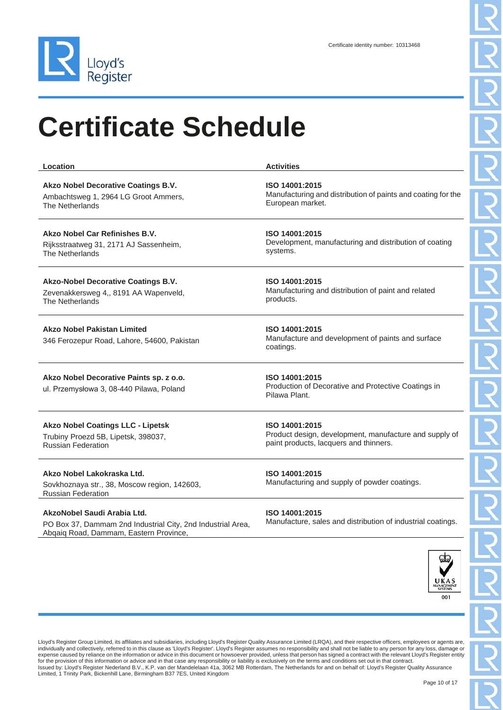

| Location                                                                                                                             | <b>Activities</b>                                                                                                  |
|--------------------------------------------------------------------------------------------------------------------------------------|--------------------------------------------------------------------------------------------------------------------|
| Akzo Nobel Decorative Coatings B.V.<br>Ambachtsweg 1, 2964 LG Groot Ammers,<br>The Netherlands                                       | ISO 14001:2015<br>Manufacturing and distribution of paints and coating for the<br>European market.                 |
| Akzo Nobel Car Refinishes B.V.<br>Rijksstraatweg 31, 2171 AJ Sassenheim,<br>The Netherlands                                          | ISO 14001:2015<br>Development, manufacturing and distribution of coating<br>systems.                               |
| Akzo-Nobel Decorative Coatings B.V.<br>Zevenakkersweg 4,, 8191 AA Wapenveld,<br>The Netherlands                                      | ISO 14001:2015<br>Manufacturing and distribution of paint and related<br>products.                                 |
| <b>Akzo Nobel Pakistan Limited</b><br>346 Ferozepur Road, Lahore, 54600, Pakistan                                                    | ISO 14001:2015<br>Manufacture and development of paints and surface<br>coatings.                                   |
| Akzo Nobel Decorative Paints sp. z o.o.<br>ul. Przemysłowa 3, 08-440 Pilawa, Poland                                                  | ISO 14001:2015<br>Production of Decorative and Protective Coatings in<br>Pilawa Plant.                             |
| <b>Akzo Nobel Coatings LLC - Lipetsk</b><br>Trubiny Proezd 5B, Lipetsk, 398037,<br><b>Russian Federation</b>                         | ISO 14001:2015<br>Product design, development, manufacture and supply of<br>paint products, lacquers and thinners. |
| Akzo Nobel Lakokraska Ltd.<br>Sovkhoznaya str., 38, Moscow region, 142603,<br>Russian Federation                                     | ISO 14001:2015<br>Manufacturing and supply of powder coatings.                                                     |
| AkzoNobel Saudi Arabia Ltd.<br>PO Box 37, Dammam 2nd Industrial City, 2nd Industrial Area,<br>Abqaiq Road, Dammam, Eastern Province, | ISO 14001:2015<br>Manufacture, sales and distribution of industrial coatings.                                      |
|                                                                                                                                      |                                                                                                                    |

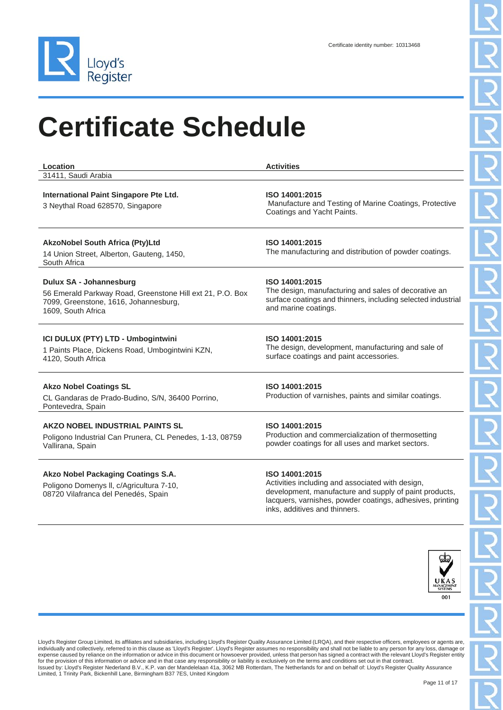

| Location<br>31411, Saudi Arabia                                                                                                                     | <b>Activities</b>                                                                                                                                                                         |
|-----------------------------------------------------------------------------------------------------------------------------------------------------|-------------------------------------------------------------------------------------------------------------------------------------------------------------------------------------------|
| International Paint Singapore Pte Ltd.<br>3 Neythal Road 628570, Singapore                                                                          | ISO 14001:2015<br>Manufacture and Testing of Marine Coatings, Protective<br>Coatings and Yacht Paints.                                                                                    |
| <b>AkzoNobel South Africa (Pty)Ltd</b><br>14 Union Street, Alberton, Gauteng, 1450,<br>South Africa                                                 | ISO 14001:2015<br>The manufacturing and distribution of powder coatings.                                                                                                                  |
| Dulux SA - Johannesburg<br>56 Emerald Parkway Road, Greenstone Hill ext 21, P.O. Box<br>7099, Greenstone, 1616, Johannesburg,<br>1609, South Africa | ISO 14001:2015<br>The design, manufacturing and sales of decorative an<br>surface coatings and thinners, including selected industrial<br>and marine coatings.                            |
| ICI DULUX (PTY) LTD - Umbogintwini<br>1 Paints Place, Dickens Road, Umbogintwini KZN,<br>4120, South Africa                                         | ISO 14001:2015<br>The design, development, manufacturing and sale of<br>surface coatings and paint accessories.                                                                           |
| <b>Akzo Nobel Coatings SL</b><br>CL Gandaras de Prado-Budino, S/N, 36400 Porrino,<br>Pontevedra, Spain                                              | ISO 14001:2015<br>Production of varnishes, paints and similar coatings.                                                                                                                   |
| AKZO NOBEL INDUSTRIAL PAINTS SL<br>Poligono Industrial Can Prunera, CL Penedes, 1-13, 08759<br>Vallirana, Spain                                     | ISO 14001:2015<br>Production and commercialization of thermosetting<br>powder coatings for all uses and market sectors.                                                                   |
| Akzo Nobel Packaging Coatings S.A.<br>Poligono Domenys II, c/Agricultura 7-10,<br>08720 Vilafranca del Penedés, Spain                               | ISO 14001:2015<br>Activities including and associated with design,<br>development, manufacture and supply of paint products,<br>lacquers, varnishes, powder coatings, adhesives, printing |



Lloyd's Register Group Limited, its affiliates and subsidiaries, including Lloyd's Register Quality Assurance Limited (LRQA), and their respective officers, employees or agents are,<br>individually and collectively, referred expense caused by reliance on the information or advice in this document or howsoever provided, unless that person has signed a contract with the relevant Lloyd's Register entity<br>for the provision of this information or ad Limited, 1 Trinity Park, Bickenhill Lane, Birmingham B37 7ES, United Kingdom

inks, additives and thinners.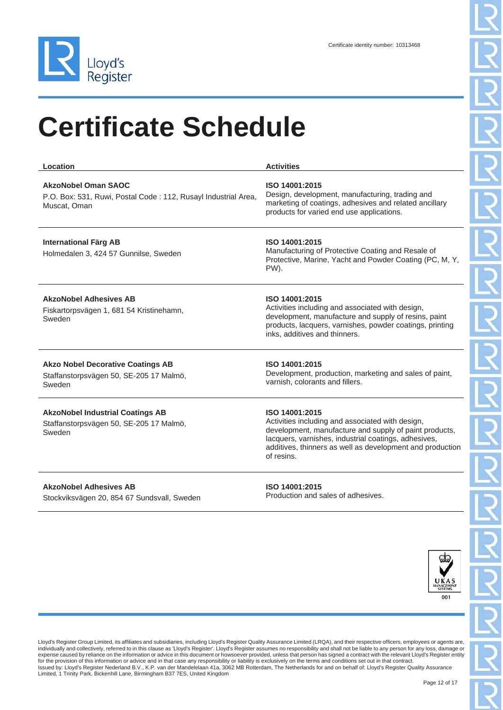

| Location                                                                                              | <b>Activities</b>                                                                                                                                                                                                                                               |
|-------------------------------------------------------------------------------------------------------|-----------------------------------------------------------------------------------------------------------------------------------------------------------------------------------------------------------------------------------------------------------------|
| AkzoNobel Oman SAOC<br>P.O. Box: 531, Ruwi, Postal Code: 112, Rusayl Industrial Area,<br>Muscat. Oman | ISO 14001:2015<br>Design, development, manufacturing, trading and<br>marketing of coatings, adhesives and related ancillary<br>products for varied end use applications.                                                                                        |
| <b>International Färg AB</b><br>Holmedalen 3, 424 57 Gunnilse, Sweden                                 | ISO 14001:2015<br>Manufacturing of Protective Coating and Resale of<br>Protective, Marine, Yacht and Powder Coating (PC, M, Y,<br>PW).                                                                                                                          |
| <b>AkzoNobel Adhesives AB</b><br>Fiskartorpsvägen 1, 681 54 Kristinehamn,<br>Sweden                   | ISO 14001:2015<br>Activities including and associated with design,<br>development, manufacture and supply of resins, paint<br>products, lacquers, varnishes, powder coatings, printing<br>inks, additives and thinners.                                         |
| <b>Akzo Nobel Decorative Coatings AB</b><br>Staffanstorpsvägen 50, SE-205 17 Malmö,<br>Sweden         | ISO 14001:2015<br>Development, production, marketing and sales of paint,<br>varnish, colorants and fillers.                                                                                                                                                     |
| <b>AkzoNobel Industrial Coatings AB</b><br>Staffanstorpsvägen 50, SE-205 17 Malmö,<br>Sweden          | ISO 14001:2015<br>Activities including and associated with design,<br>development, manufacture and supply of paint products,<br>lacquers, varnishes, industrial coatings, adhesives,<br>additives, thinners as well as development and production<br>of resins. |

**AkzoNobel Adhesives AB** Stockviksvägen 20, 854 67 Sundsvall, Sweden **ISO 14001:2015** Production and sales of adhesives.

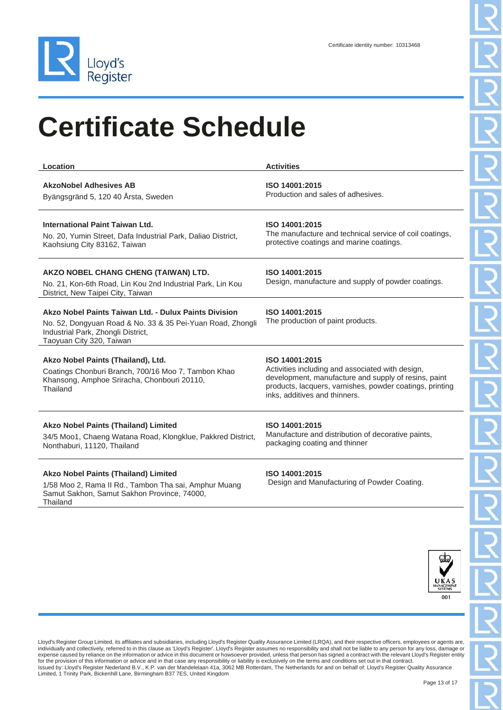

| Location                                                                                                                                                                              | <b>Activities</b>                                                                                                                                                                                                       |
|---------------------------------------------------------------------------------------------------------------------------------------------------------------------------------------|-------------------------------------------------------------------------------------------------------------------------------------------------------------------------------------------------------------------------|
| <b>AkzoNobel Adhesives AB</b><br>Byängsgränd 5, 120 40 Årsta, Sweden                                                                                                                  | ISO 14001:2015<br>Production and sales of adhesives.                                                                                                                                                                    |
| International Paint Taiwan Ltd.<br>No. 20, Yumin Street, Dafa Industrial Park, Daliao District,<br>Kaohsiung City 83162, Taiwan                                                       | ISO 14001:2015<br>The manufacture and technical service of coil coatings,<br>protective coatings and marine coatings.                                                                                                   |
| AKZO NOBEL CHANG CHENG (TAIWAN) LTD.<br>No. 21, Kon-6th Road, Lin Kou 2nd Industrial Park, Lin Kou<br>District, New Taipei City, Taiwan                                               | ISO 14001:2015<br>Design, manufacture and supply of powder coatings.                                                                                                                                                    |
| Akzo Nobel Paints Taiwan Ltd. - Dulux Paints Division<br>No. 52, Dongyuan Road & No. 33 & 35 Pei-Yuan Road, Zhongli<br>Industrial Park, Zhongli District,<br>Taoyuan City 320, Taiwan | ISO 14001:2015<br>The production of paint products.                                                                                                                                                                     |
| Akzo Nobel Paints (Thailand), Ltd.<br>Coatings Chonburi Branch, 700/16 Moo 7, Tambon Khao<br>Khansong, Amphoe Sriracha, Chonbouri 20110,<br>Thailand                                  | ISO 14001:2015<br>Activities including and associated with design,<br>development, manufacture and supply of resins, paint<br>products, lacquers, varnishes, powder coatings, printing<br>inks, additives and thinners. |
| <b>Akzo Nobel Paints (Thailand) Limited</b><br>34/5 Moo1, Chaeng Watana Road, Klongklue, Pakkred District,<br>Nonthaburi, 11120, Thailand                                             | ISO 14001:2015<br>Manufacture and distribution of decorative paints,<br>packaging coating and thinner                                                                                                                   |

#### **Akzo Nobel Paints (Thailand) Limited**

1/58 Moo 2, Rama II Rd., Tambon Tha sai, Amphur Muang Samut Sakhon, Samut Sakhon Province, 74000, **Thailand** 

#### **ISO 14001:2015**

Design and Manufacturing of Powder Coating.

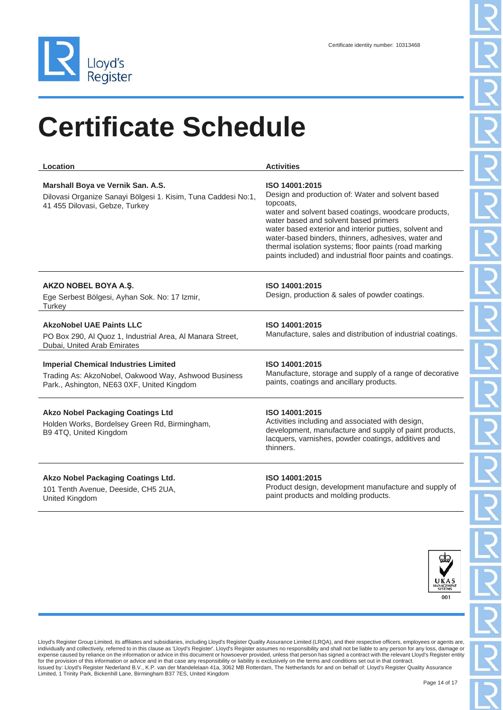

| Location                                                                                                                                          | <b>Activities</b>                                                                                                                                                                                                                                                                                                                                                                                                         |
|---------------------------------------------------------------------------------------------------------------------------------------------------|---------------------------------------------------------------------------------------------------------------------------------------------------------------------------------------------------------------------------------------------------------------------------------------------------------------------------------------------------------------------------------------------------------------------------|
| Marshall Boya ve Vernik San. A.S.<br>Dilovasi Organize Sanayi Bölgesi 1. Kisim, Tuna Caddesi No:1,<br>41 455 Dilovasi, Gebze, Turkey              | ISO 14001:2015<br>Design and production of: Water and solvent based<br>topcoats.<br>water and solvent based coatings, woodcare products,<br>water based and solvent based primers<br>water based exterior and interior putties, solvent and<br>water-based binders, thinners, adhesives, water and<br>thermal isolation systems; floor paints (road marking<br>paints included) and industrial floor paints and coatings. |
| AKZO NOBEL BOYA A.Ş.<br>Ege Serbest Bölgesi, Ayhan Sok. No: 17 Izmir,<br>Turkey                                                                   | ISO 14001:2015<br>Design, production & sales of powder coatings.                                                                                                                                                                                                                                                                                                                                                          |
| <b>AkzoNobel UAE Paints LLC</b><br>PO Box 290, Al Quoz 1, Industrial Area, Al Manara Street,<br>Dubai, United Arab Emirates                       | ISO 14001:2015<br>Manufacture, sales and distribution of industrial coatings.                                                                                                                                                                                                                                                                                                                                             |
| <b>Imperial Chemical Industries Limited</b><br>Trading As: AkzoNobel, Oakwood Way, Ashwood Business<br>Park., Ashington, NE63 0XF, United Kingdom | ISO 14001:2015<br>Manufacture, storage and supply of a range of decorative<br>paints, coatings and ancillary products.                                                                                                                                                                                                                                                                                                    |
| <b>Akzo Nobel Packaging Coatings Ltd</b><br>Holden Works, Bordelsey Green Rd, Birmingham,<br>B9 4TQ, United Kingdom                               | ISO 14001:2015<br>Activities including and associated with design,<br>development, manufacture and supply of paint products,<br>lacquers, varnishes, powder coatings, additives and<br>thinners.                                                                                                                                                                                                                          |
|                                                                                                                                                   |                                                                                                                                                                                                                                                                                                                                                                                                                           |

#### **Akzo Nobel Packaging Coatings Ltd.**

101 Tenth Avenue, Deeside, CH5 2UA, United Kingdom

#### **ISO 14001:2015**

Product design, development manufacture and supply of paint products and molding products.

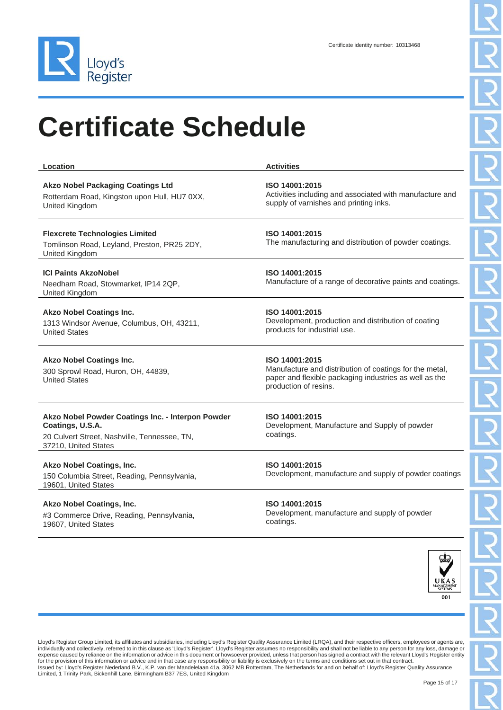

| Location                                                                                                                                      | <b>Activities</b>                                                                                                                                            |
|-----------------------------------------------------------------------------------------------------------------------------------------------|--------------------------------------------------------------------------------------------------------------------------------------------------------------|
| <b>Akzo Nobel Packaging Coatings Ltd</b><br>Rotterdam Road, Kingston upon Hull, HU7 0XX,<br>United Kingdom                                    | ISO 14001:2015<br>Activities including and associated with manufacture and<br>supply of varnishes and printing inks.                                         |
| <b>Flexcrete Technologies Limited</b><br>Tomlinson Road, Leyland, Preston, PR25 2DY,<br>United Kingdom                                        | ISO 14001:2015<br>The manufacturing and distribution of powder coatings.                                                                                     |
| <b>ICI Paints AkzoNobel</b><br>Needham Road, Stowmarket, IP14 2QP,<br>United Kingdom                                                          | ISO 14001:2015<br>Manufacture of a range of decorative paints and coatings.                                                                                  |
| <b>Akzo Nobel Coatings Inc.</b><br>1313 Windsor Avenue, Columbus, OH, 43211,<br><b>United States</b>                                          | ISO 14001:2015<br>Development, production and distribution of coating<br>products for industrial use.                                                        |
| <b>Akzo Nobel Coatings Inc.</b><br>300 Sprowl Road, Huron, OH, 44839,<br><b>United States</b>                                                 | ISO 14001:2015<br>Manufacture and distribution of coatings for the metal,<br>paper and flexible packaging industries as well as the<br>production of resins. |
| Akzo Nobel Powder Coatings Inc. - Interpon Powder<br>Coatings, U.S.A.<br>20 Culvert Street, Nashville, Tennessee, TN,<br>37210, United States | ISO 14001:2015<br>Development, Manufacture and Supply of powder<br>coatings.                                                                                 |
| Akzo Nobel Coatings, Inc.<br>150 Columbia Street, Reading, Pennsylvania,<br>19601, United States                                              | ISO 14001:2015<br>Development, manufacture and supply of powder coatings                                                                                     |
| <b>Akzo Nobel Coatings, Inc.</b>                                                                                                              | ISO 14001:2015                                                                                                                                               |

#3 Commerce Drive, Reading, Pennsylvania, 19607, United States

**ISO 14001:2015** Development, manufacture and supply of powder coatings.

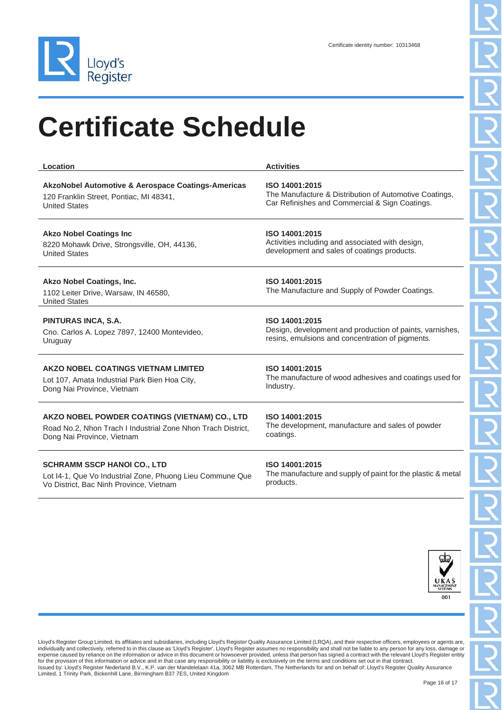

| Location                                                                                  | <b>Activities</b>                                                |
|-------------------------------------------------------------------------------------------|------------------------------------------------------------------|
| <b>AkzoNobel Automotive &amp; Aerospace Coatings-Americas</b>                             | ISO 14001:2015                                                   |
| 120 Franklin Street, Pontiac, MI 48341,                                                   | The Manufacture & Distribution of Automotive Coatings,           |
| <b>United States</b>                                                                      | Car Refinishes and Commercial & Sign Coatings.                   |
| <b>Akzo Nobel Coatings Inc</b>                                                            | ISO 14001:2015                                                   |
| 8220 Mohawk Drive, Strongsville, OH, 44136,                                               | Activities including and associated with design,                 |
| <b>United States</b>                                                                      | development and sales of coatings products.                      |
| Akzo Nobel Coatings, Inc.<br>1102 Leiter Drive, Warsaw, IN 46580,<br><b>United States</b> | ISO 14001:2015<br>The Manufacture and Supply of Powder Coatings. |
| PINTURAS INCA, S.A.                                                                       | ISO 14001:2015                                                   |
| Cno. Carlos A. Lopez 7897, 12400 Montevideo,                                              | Design, development and production of paints, varnishes,         |
| Uruguay                                                                                   | resins, emulsions and concentration of pigments.                 |
| AKZO NOBEL COATINGS VIETNAM LIMITED                                                       | ISO 14001:2015                                                   |
| Lot 107, Amata Industrial Park Bien Hoa City,                                             | The manufacture of wood adhesives and coatings used for          |
| Dong Nai Province, Vietnam                                                                | Industry.                                                        |
| <b>AKZO NOBEL POWDER COATINGS (VIETNAM) CO., LTD</b>                                      | ISO 14001:2015                                                   |
| Road No.2, Nhon Trach I Industrial Zone Nhon Trach District,                              | The development, manufacture and sales of powder                 |
| Dong Nai Province, Vietnam                                                                | coatings.                                                        |

#### **SCHRAMM SSCP HANOI CO., LTD**

Lot I4-1, Que Vo Industrial Zone, Phuong Lieu Commune Que Vo District, Bac Ninh Province, Vietnam

#### **ISO 14001:2015**

The manufacture and supply of paint for the plastic & metal products.